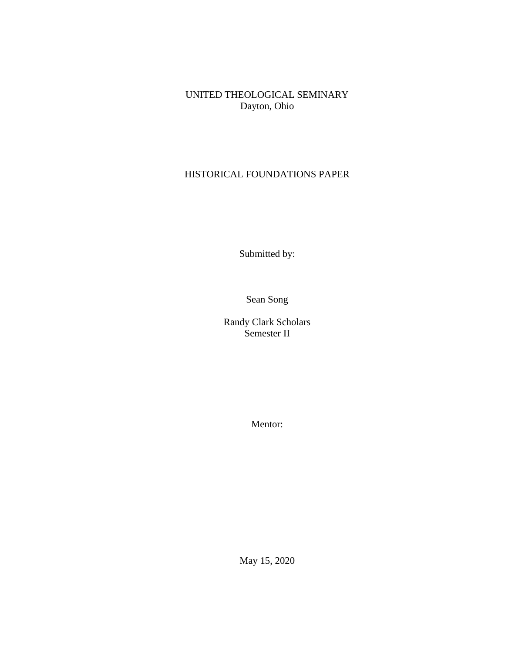UNITED THEOLOGICAL SEMINARY Dayton, Ohio

# HISTORICAL FOUNDATIONS PAPER

Submitted by:

Sean Song

Randy Clark Scholars Semester II

Mentor:

May 15, 2020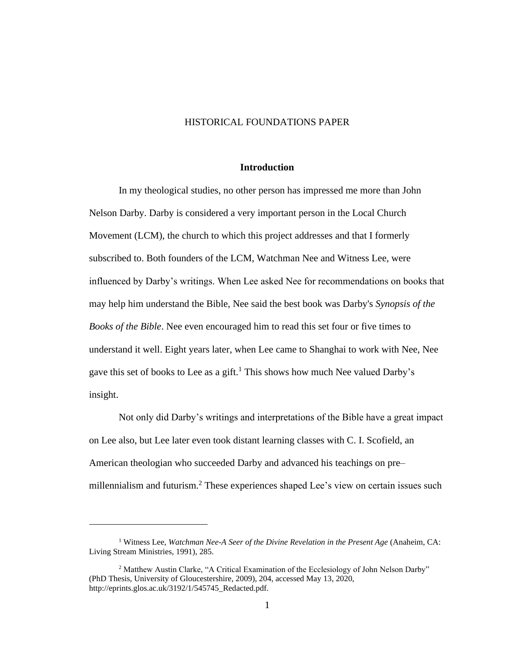## HISTORICAL FOUNDATIONS PAPER

# **Introduction**

In my theological studies, no other person has impressed me more than John Nelson Darby. Darby is considered a very important person in the Local Church Movement (LCM), the church to which this project addresses and that I formerly subscribed to. Both founders of the LCM, Watchman Nee and Witness Lee, were influenced by Darby's writings. When Lee asked Nee for recommendations on books that may help him understand the Bible, Nee said the best book was Darby's *Synopsis of the Books of the Bible*. Nee even encouraged him to read this set four or five times to understand it well. Eight years later, when Lee came to Shanghai to work with Nee, Nee gave this set of books to Lee as a gift.<sup>1</sup> This shows how much Nee valued Darby's insight.

Not only did Darby's writings and interpretations of the Bible have a great impact on Lee also, but Lee later even took distant learning classes with C. I. Scofield, an American theologian who succeeded Darby and advanced his teachings on pre– millennialism and futurism.<sup>2</sup> These experiences shaped Lee's view on certain issues such

<sup>1</sup> Witness Lee, *Watchman Nee-A Seer of the Divine Revelation in the Present Age* (Anaheim, CA: Living Stream Ministries, 1991), 285.

<sup>2</sup> Matthew Austin Clarke, "A Critical Examination of the Ecclesiology of John Nelson Darby" (PhD Thesis, University of Gloucestershire, 2009), 204, accessed May 13, 2020, http://eprints.glos.ac.uk/3192/1/545745\_Redacted.pdf.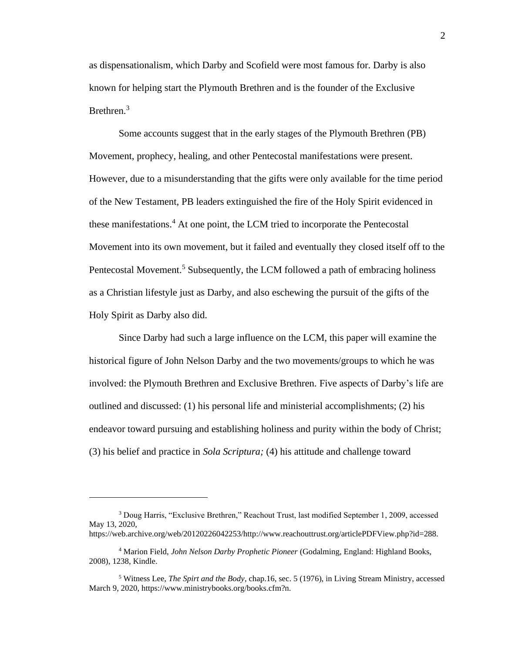as dispensationalism, which Darby and Scofield were most famous for. Darby is also known for helping start the Plymouth Brethren and is the founder of the Exclusive Brethren.<sup>3</sup>

Some accounts suggest that in the early stages of the Plymouth Brethren (PB) Movement, prophecy, healing, and other Pentecostal manifestations were present. However, due to a misunderstanding that the gifts were only available for the time period of the New Testament, PB leaders extinguished the fire of the Holy Spirit evidenced in these manifestations.<sup>4</sup> At one point, the LCM tried to incorporate the Pentecostal Movement into its own movement, but it failed and eventually they closed itself off to the Pentecostal Movement.<sup>5</sup> Subsequently, the LCM followed a path of embracing holiness as a Christian lifestyle just as Darby, and also eschewing the pursuit of the gifts of the Holy Spirit as Darby also did.

Since Darby had such a large influence on the LCM, this paper will examine the historical figure of John Nelson Darby and the two movements/groups to which he was involved: the Plymouth Brethren and Exclusive Brethren. Five aspects of Darby's life are outlined and discussed: (1) his personal life and ministerial accomplishments; (2) his endeavor toward pursuing and establishing holiness and purity within the body of Christ; (3) his belief and practice in *Sola Scriptura;* (4) his attitude and challenge toward

<sup>3</sup> Doug Harris, "Exclusive Brethren," Reachout Trust, last modified September 1, 2009, accessed May 13, 2020, https://web.archive.org/web/20120226042253/http://www.reachouttrust.org/articlePDFView.php?id=288.

<sup>4</sup> Marion Field, *John Nelson Darby Prophetic Pioneer* (Godalming, England: Highland Books, 2008), 1238, Kindle.

<sup>5</sup> Witness Lee, *The Spirt and the Body*, chap.16, sec. 5 (1976), in Living Stream Ministry, accessed March 9, 2020, https://www.ministrybooks.org/books.cfm?n.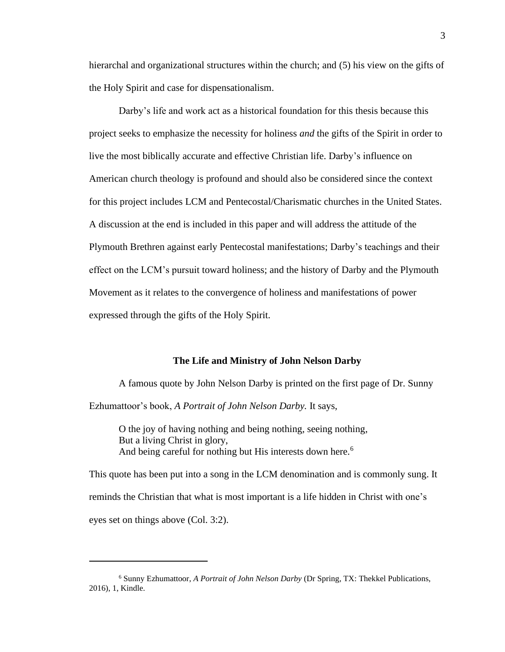hierarchal and organizational structures within the church; and (5) his view on the gifts of the Holy Spirit and case for dispensationalism.

Darby's life and work act as a historical foundation for this thesis because this project seeks to emphasize the necessity for holiness *and* the gifts of the Spirit in order to live the most biblically accurate and effective Christian life. Darby's influence on American church theology is profound and should also be considered since the context for this project includes LCM and Pentecostal/Charismatic churches in the United States. A discussion at the end is included in this paper and will address the attitude of the Plymouth Brethren against early Pentecostal manifestations; Darby's teachings and their effect on the LCM's pursuit toward holiness; and the history of Darby and the Plymouth Movement as it relates to the convergence of holiness and manifestations of power expressed through the gifts of the Holy Spirit.

#### **The Life and Ministry of John Nelson Darby**

A famous quote by John Nelson Darby is printed on the first page of Dr. Sunny Ezhumattoor's book, *A Portrait of John Nelson Darby.* It says,

O the joy of having nothing and being nothing, seeing nothing, But a living Christ in glory, And being careful for nothing but His interests down here.<sup>6</sup>

This quote has been put into a song in the LCM denomination and is commonly sung. It reminds the Christian that what is most important is a life hidden in Christ with one's eyes set on things above (Col. 3:2).

<sup>6</sup> Sunny Ezhumattoor, *A Portrait of John Nelson Darby* (Dr Spring, TX: Thekkel Publications, 2016), 1, Kindle.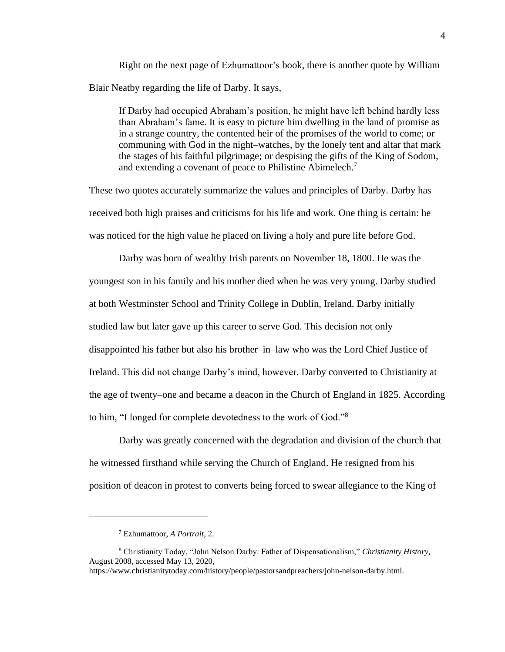Right on the next page of Ezhumattoor's book, there is another quote by William Blair Neatby regarding the life of Darby. It says,

If Darby had occupied Abraham's position, he might have left behind hardly less than Abraham's fame. It is easy to picture him dwelling in the land of promise as in a strange country, the contented heir of the promises of the world to come; or communing with God in the night–watches, by the lonely tent and altar that mark the stages of his faithful pilgrimage; or despising the gifts of the King of Sodom, and extending a covenant of peace to Philistine Abimelech.<sup>7</sup>

These two quotes accurately summarize the values and principles of Darby. Darby has received both high praises and criticisms for his life and work. One thing is certain: he was noticed for the high value he placed on living a holy and pure life before God.

Darby was born of wealthy Irish parents on November 18, 1800. He was the youngest son in his family and his mother died when he was very young. Darby studied at both Westminster School and Trinity College in Dublin, Ireland. Darby initially studied law but later gave up this career to serve God. This decision not only disappointed his father but also his brother–in–law who was the Lord Chief Justice of Ireland. This did not change Darby's mind, however. Darby converted to Christianity at the age of twenty–one and became a deacon in the Church of England in 1825. According to him, "I longed for complete devotedness to the work of God."<sup>8</sup>

Darby was greatly concerned with the degradation and division of the church that he witnessed firsthand while serving the Church of England. He resigned from his position of deacon in protest to converts being forced to swear allegiance to the King of

<sup>7</sup> Ezhumattoor, *A Portrait*, 2.

<sup>8</sup> Christianity Today, "John Nelson Darby: Father of Dispensationalism," *Christianity History,*  August 2008, accessed May 13, 2020,

https://www.christianitytoday.com/history/people/pastorsandpreachers/john-nelson-darby.html.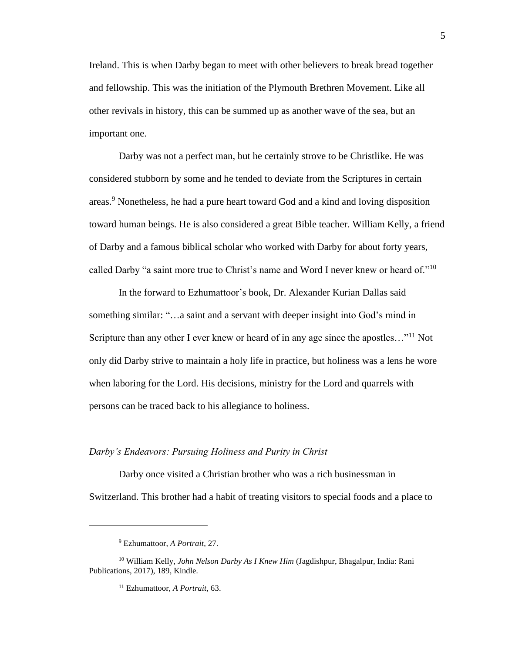Ireland. This is when Darby began to meet with other believers to break bread together and fellowship. This was the initiation of the Plymouth Brethren Movement. Like all other revivals in history, this can be summed up as another wave of the sea, but an important one.

Darby was not a perfect man, but he certainly strove to be Christlike. He was considered stubborn by some and he tended to deviate from the Scriptures in certain areas. <sup>9</sup> Nonetheless, he had a pure heart toward God and a kind and loving disposition toward human beings. He is also considered a great Bible teacher. William Kelly, a friend of Darby and a famous biblical scholar who worked with Darby for about forty years, called Darby "a saint more true to Christ's name and Word I never knew or heard of."<sup>10</sup>

In the forward to Ezhumattoor's book, Dr. Alexander Kurian Dallas said something similar: "…a saint and a servant with deeper insight into God's mind in Scripture than any other I ever knew or heard of in any age since the apostles..."<sup>11</sup> Not only did Darby strive to maintain a holy life in practice, but holiness was a lens he wore when laboring for the Lord. His decisions, ministry for the Lord and quarrels with persons can be traced back to his allegiance to holiness.

#### *Darby's Endeavors: Pursuing Holiness and Purity in Christ*

Darby once visited a Christian brother who was a rich businessman in Switzerland. This brother had a habit of treating visitors to special foods and a place to

<sup>9</sup> Ezhumattoor, *A Portrait*, 27.

<sup>10</sup> William Kelly, *John Nelson Darby As I Knew Him* (Jagdishpur, Bhagalpur, India: Rani Publications, 2017), 189, Kindle.

<sup>11</sup> Ezhumattoor, *A Portrait,* 63.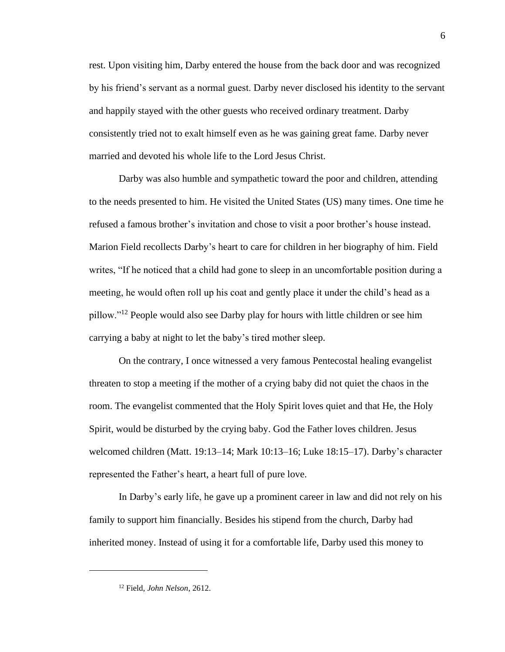rest. Upon visiting him, Darby entered the house from the back door and was recognized by his friend's servant as a normal guest. Darby never disclosed his identity to the servant and happily stayed with the other guests who received ordinary treatment. Darby consistently tried not to exalt himself even as he was gaining great fame. Darby never married and devoted his whole life to the Lord Jesus Christ.

Darby was also humble and sympathetic toward the poor and children, attending to the needs presented to him. He visited the United States (US) many times. One time he refused a famous brother's invitation and chose to visit a poor brother's house instead. Marion Field recollects Darby's heart to care for children in her biography of him. Field writes, "If he noticed that a child had gone to sleep in an uncomfortable position during a meeting, he would often roll up his coat and gently place it under the child's head as a pillow."<sup>12</sup> People would also see Darby play for hours with little children or see him carrying a baby at night to let the baby's tired mother sleep.

On the contrary, I once witnessed a very famous Pentecostal healing evangelist threaten to stop a meeting if the mother of a crying baby did not quiet the chaos in the room. The evangelist commented that the Holy Spirit loves quiet and that He, the Holy Spirit, would be disturbed by the crying baby. God the Father loves children. Jesus welcomed children (Matt. 19:13–14; Mark 10:13–16; Luke 18:15–17). Darby's character represented the Father's heart, a heart full of pure love.

In Darby's early life, he gave up a prominent career in law and did not rely on his family to support him financially. Besides his stipend from the church, Darby had inherited money. Instead of using it for a comfortable life, Darby used this money to

<sup>12</sup> Field, *John Nelson*, 2612.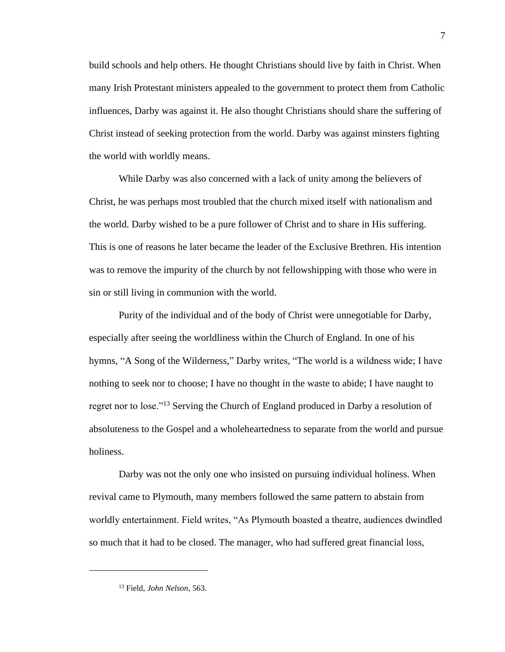build schools and help others. He thought Christians should live by faith in Christ. When many Irish Protestant ministers appealed to the government to protect them from Catholic influences, Darby was against it. He also thought Christians should share the suffering of Christ instead of seeking protection from the world. Darby was against minsters fighting the world with worldly means.

While Darby was also concerned with a lack of unity among the believers of Christ, he was perhaps most troubled that the church mixed itself with nationalism and the world. Darby wished to be a pure follower of Christ and to share in His suffering. This is one of reasons he later became the leader of the Exclusive Brethren. His intention was to remove the impurity of the church by not fellowshipping with those who were in sin or still living in communion with the world.

Purity of the individual and of the body of Christ were unnegotiable for Darby, especially after seeing the worldliness within the Church of England. In one of his hymns, "A Song of the Wilderness," Darby writes, "The world is a wildness wide; I have nothing to seek nor to choose; I have no thought in the waste to abide; I have naught to regret nor to lose."<sup>13</sup> Serving the Church of England produced in Darby a resolution of absoluteness to the Gospel and a wholeheartedness to separate from the world and pursue holiness.

Darby was not the only one who insisted on pursuing individual holiness. When revival came to Plymouth, many members followed the same pattern to abstain from worldly entertainment. Field writes, "As Plymouth boasted a theatre, audiences dwindled so much that it had to be closed. The manager, who had suffered great financial loss,

<sup>13</sup> Field, *John Nelson*, 563.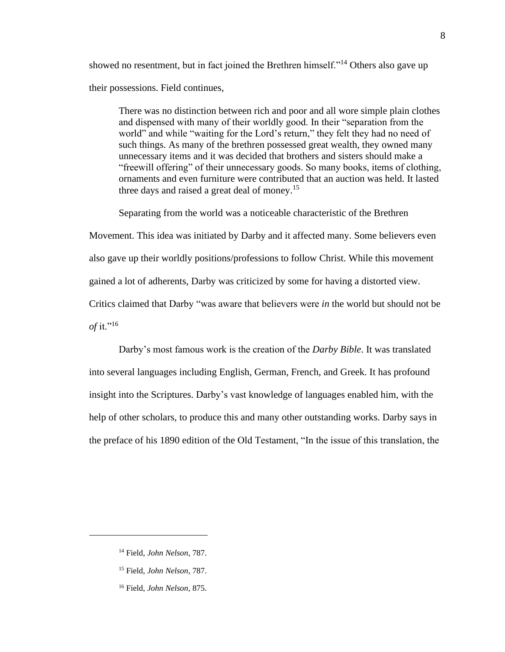showed no resentment, but in fact joined the Brethren himself."<sup>14</sup> Others also gave up their possessions. Field continues,

There was no distinction between rich and poor and all wore simple plain clothes and dispensed with many of their worldly good. In their "separation from the world" and while "waiting for the Lord's return," they felt they had no need of such things. As many of the brethren possessed great wealth, they owned many unnecessary items and it was decided that brothers and sisters should make a "freewill offering" of their unnecessary goods. So many books, items of clothing, ornaments and even furniture were contributed that an auction was held. It lasted three days and raised a great deal of money.<sup>15</sup>

Separating from the world was a noticeable characteristic of the Brethren

Movement. This idea was initiated by Darby and it affected many. Some believers even

also gave up their worldly positions/professions to follow Christ. While this movement

gained a lot of adherents, Darby was criticized by some for having a distorted view.

Critics claimed that Darby "was aware that believers were *in* the world but should not be *of* it."<sup>16</sup>

Darby's most famous work is the creation of the *Darby Bible*. It was translated into several languages including English, German, French, and Greek. It has profound insight into the Scriptures. Darby's vast knowledge of languages enabled him, with the help of other scholars, to produce this and many other outstanding works. Darby says in the preface of his 1890 edition of the Old Testament, "In the issue of this translation, the

<sup>14</sup> Field, *John Nelson*, 787.

<sup>15</sup> Field, *John Nelson*, 787.

<sup>16</sup> Field, *John Nelson*, 875.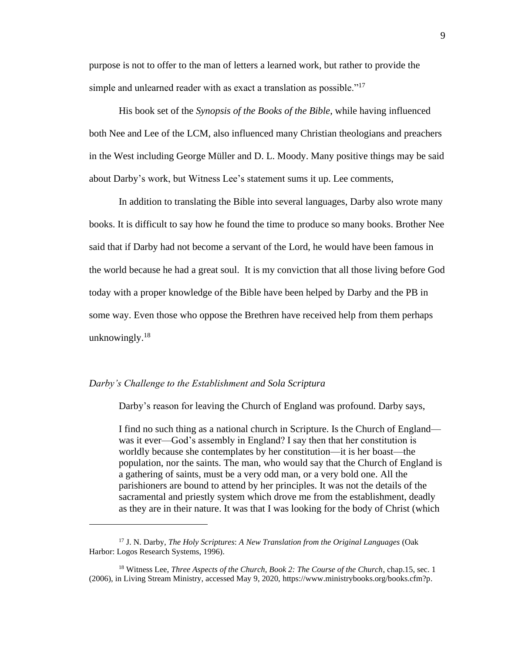purpose is not to offer to the man of letters a learned work, but rather to provide the simple and unlearned reader with as exact a translation as possible."<sup>17</sup>

His book set of the *Synopsis of the Books of the Bible*, while having influenced both Nee and Lee of the LCM, also influenced many Christian theologians and preachers in the West including George Müller and D. L. Moody. Many positive things may be said about Darby's work, but Witness Lee's statement sums it up. Lee comments,

In addition to translating the Bible into several languages, Darby also wrote many books. It is difficult to say how he found the time to produce so many books. Brother Nee said that if Darby had not become a servant of the Lord, he would have been famous in the world because he had a great soul. It is my conviction that all those living before God today with a proper knowledge of the Bible have been helped by Darby and the PB in some way. Even those who oppose the Brethren have received help from them perhaps unknowingly. $18$ 

### *Darby's Challenge to the Establishment and Sola Scriptura*

Darby's reason for leaving the Church of England was profound. Darby says,

I find no such thing as a national church in Scripture. Is the Church of England was it ever—God's assembly in England? I say then that her constitution is worldly because she contemplates by her constitution—it is her boast—the population, nor the saints. The man, who would say that the Church of England is a gathering of saints, must be a very odd man, or a very bold one. All the parishioners are bound to attend by her principles. It was not the details of the sacramental and priestly system which drove me from the establishment, deadly as they are in their nature. It was that I was looking for the body of Christ (which

<sup>17</sup> J. N. Darby, *The Holy Scriptures*: *A New Translation from the Original Languages* (Oak Harbor: Logos Research Systems, 1996).

<sup>18</sup> Witness Lee, *Three Aspects of the Church, Book 2: The Course of the Church*, chap.15, sec. 1 (2006), in Living Stream Ministry, accessed May 9, 2020, https://www.ministrybooks.org/books.cfm?p.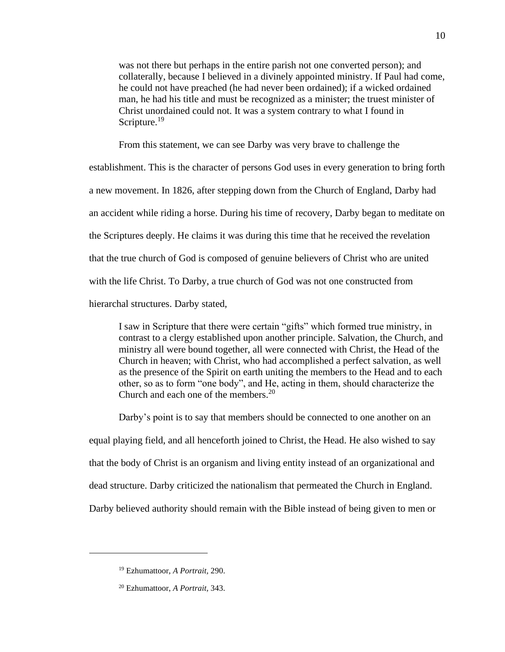was not there but perhaps in the entire parish not one converted person); and collaterally, because I believed in a divinely appointed ministry. If Paul had come, he could not have preached (he had never been ordained); if a wicked ordained man, he had his title and must be recognized as a minister; the truest minister of Christ unordained could not. It was a system contrary to what I found in Scripture.<sup>19</sup>

From this statement, we can see Darby was very brave to challenge the

establishment. This is the character of persons God uses in every generation to bring forth a new movement. In 1826, after stepping down from the Church of England, Darby had an accident while riding a horse. During his time of recovery, Darby began to meditate on the Scriptures deeply. He claims it was during this time that he received the revelation that the true church of God is composed of genuine believers of Christ who are united with the life Christ. To Darby, a true church of God was not one constructed from hierarchal structures. Darby stated,

I saw in Scripture that there were certain "gifts" which formed true ministry, in contrast to a clergy established upon another principle. Salvation, the Church, and ministry all were bound together, all were connected with Christ, the Head of the Church in heaven; with Christ, who had accomplished a perfect salvation, as well as the presence of the Spirit on earth uniting the members to the Head and to each other, so as to form "one body", and He, acting in them, should characterize the Church and each one of the members.<sup>20</sup>

Darby's point is to say that members should be connected to one another on an equal playing field, and all henceforth joined to Christ, the Head. He also wished to say that the body of Christ is an organism and living entity instead of an organizational and dead structure. Darby criticized the nationalism that permeated the Church in England. Darby believed authority should remain with the Bible instead of being given to men or

<sup>19</sup> Ezhumattoor, *A Portrait,* 290.

<sup>20</sup> Ezhumattoor, *A Portrait,* 343.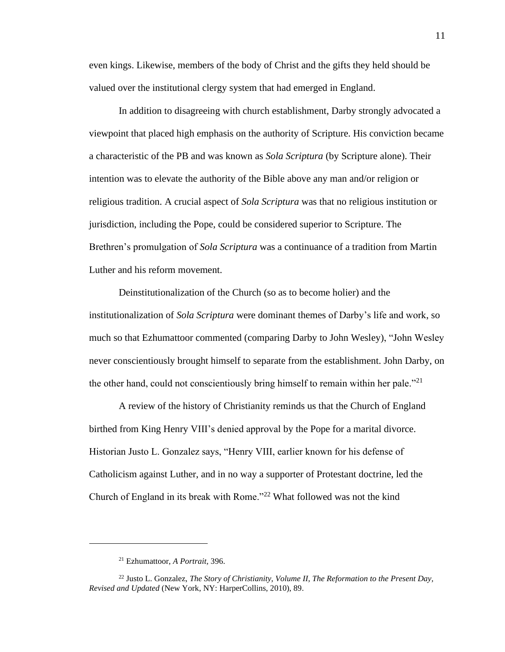even kings. Likewise, members of the body of Christ and the gifts they held should be valued over the institutional clergy system that had emerged in England.

In addition to disagreeing with church establishment, Darby strongly advocated a viewpoint that placed high emphasis on the authority of Scripture. His conviction became a characteristic of the PB and was known as *Sola Scriptura* (by Scripture alone). Their intention was to elevate the authority of the Bible above any man and/or religion or religious tradition. A crucial aspect of *Sola Scriptura* was that no religious institution or jurisdiction, including the Pope, could be considered superior to Scripture. The Brethren's promulgation of *Sola Scriptura* was a continuance of a tradition from Martin Luther and his reform movement.

Deinstitutionalization of the Church (so as to become holier) and the institutionalization of *Sola Scriptura* were dominant themes of Darby's life and work, so much so that Ezhumattoor commented (comparing Darby to John Wesley), "John Wesley never conscientiously brought himself to separate from the establishment. John Darby, on the other hand, could not conscientiously bring himself to remain within her pale. $"^{21}$ 

A review of the history of Christianity reminds us that the Church of England birthed from King Henry VIII's denied approval by the Pope for a marital divorce. Historian Justo L. Gonzalez says, "Henry VIII, earlier known for his defense of Catholicism against Luther, and in no way a supporter of Protestant doctrine, led the Church of England in its break with Rome."<sup>22</sup> What followed was not the kind

<sup>21</sup> Ezhumattoor, *A Portrait,* 396.

<sup>22</sup> Justo L. Gonzalez, *The Story of Christianity, Volume II, The Reformation to the Present Day, Revised and Updated* (New York, NY: HarperCollins, 2010), 89.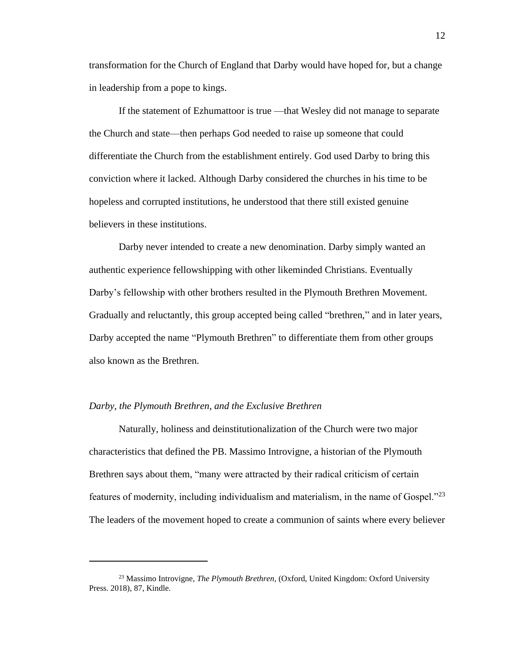transformation for the Church of England that Darby would have hoped for, but a change in leadership from a pope to kings.

If the statement of Ezhumattoor is true —that Wesley did not manage to separate the Church and state—then perhaps God needed to raise up someone that could differentiate the Church from the establishment entirely. God used Darby to bring this conviction where it lacked. Although Darby considered the churches in his time to be hopeless and corrupted institutions, he understood that there still existed genuine believers in these institutions.

Darby never intended to create a new denomination. Darby simply wanted an authentic experience fellowshipping with other likeminded Christians. Eventually Darby's fellowship with other brothers resulted in the Plymouth Brethren Movement. Gradually and reluctantly, this group accepted being called "brethren," and in later years, Darby accepted the name "Plymouth Brethren" to differentiate them from other groups also known as the Brethren.

## *Darby, the Plymouth Brethren, and the Exclusive Brethren*

Naturally, holiness and deinstitutionalization of the Church were two major characteristics that defined the PB. Massimo Introvigne, a historian of the Plymouth Brethren says about them, "many were attracted by their radical criticism of certain features of modernity, including individualism and materialism, in the name of Gospel. $123$ The leaders of the movement hoped to create a communion of saints where every believer

<sup>23</sup> Massimo Introvigne, *The Plymouth Brethren*, (Oxford, United Kingdom: Oxford University Press. 2018), 87, Kindle.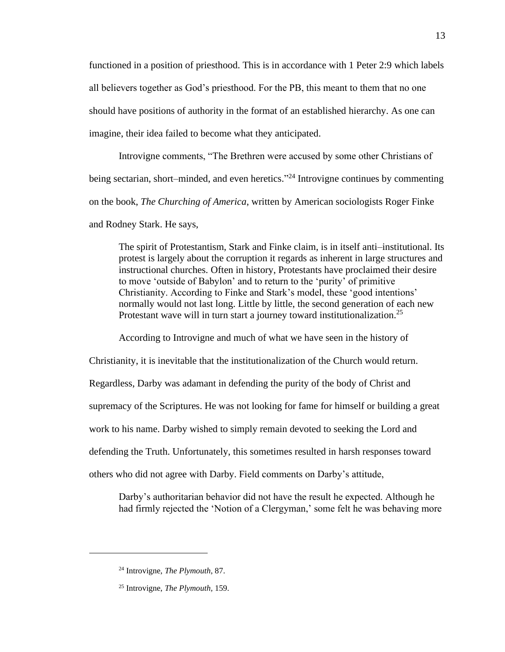functioned in a position of priesthood. This is in accordance with 1 Peter 2:9 which labels all believers together as God's priesthood. For the PB, this meant to them that no one should have positions of authority in the format of an established hierarchy. As one can imagine, their idea failed to become what they anticipated.

Introvigne comments, "The Brethren were accused by some other Christians of being sectarian, short–minded, and even heretics."<sup>24</sup> Introvigne continues by commenting on the book, *The Churching of America*, written by American sociologists Roger Finke and Rodney Stark. He says,

The spirit of Protestantism, Stark and Finke claim, is in itself anti–institutional. Its protest is largely about the corruption it regards as inherent in large structures and instructional churches. Often in history, Protestants have proclaimed their desire to move 'outside of Babylon' and to return to the 'purity' of primitive Christianity. According to Finke and Stark's model, these 'good intentions' normally would not last long. Little by little, the second generation of each new Protestant wave will in turn start a journey toward institutionalization.<sup>25</sup>

According to Introvigne and much of what we have seen in the history of

Christianity, it is inevitable that the institutionalization of the Church would return. Regardless, Darby was adamant in defending the purity of the body of Christ and supremacy of the Scriptures. He was not looking for fame for himself or building a great work to his name. Darby wished to simply remain devoted to seeking the Lord and defending the Truth. Unfortunately, this sometimes resulted in harsh responses toward others who did not agree with Darby. Field comments on Darby's attitude,

Darby's authoritarian behavior did not have the result he expected. Although he had firmly rejected the 'Notion of a Clergyman,' some felt he was behaving more

<sup>24</sup> Introvigne, *The Plymouth*, 87.

<sup>25</sup> Introvigne, *The Plymouth,* 159.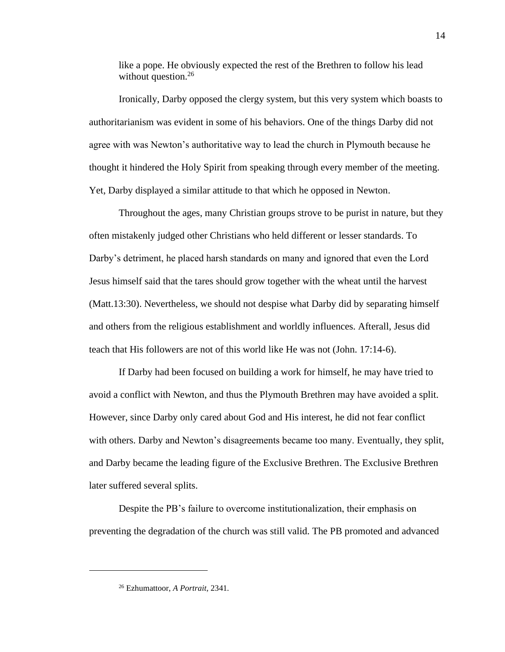like a pope. He obviously expected the rest of the Brethren to follow his lead without question. $26$ 

Ironically, Darby opposed the clergy system, but this very system which boasts to authoritarianism was evident in some of his behaviors. One of the things Darby did not agree with was Newton's authoritative way to lead the church in Plymouth because he thought it hindered the Holy Spirit from speaking through every member of the meeting. Yet, Darby displayed a similar attitude to that which he opposed in Newton.

Throughout the ages, many Christian groups strove to be purist in nature, but they often mistakenly judged other Christians who held different or lesser standards. To Darby's detriment, he placed harsh standards on many and ignored that even the Lord Jesus himself said that the tares should grow together with the wheat until the harvest (Matt.13:30). Nevertheless, we should not despise what Darby did by separating himself and others from the religious establishment and worldly influences. Afterall, Jesus did teach that His followers are not of this world like He was not (John. 17:14-6).

If Darby had been focused on building a work for himself, he may have tried to avoid a conflict with Newton, and thus the Plymouth Brethren may have avoided a split. However, since Darby only cared about God and His interest, he did not fear conflict with others. Darby and Newton's disagreements became too many. Eventually, they split, and Darby became the leading figure of the Exclusive Brethren. The Exclusive Brethren later suffered several splits.

Despite the PB's failure to overcome institutionalization, their emphasis on preventing the degradation of the church was still valid. The PB promoted and advanced

<sup>26</sup> Ezhumattoor, *A Portrait,* 2341*.*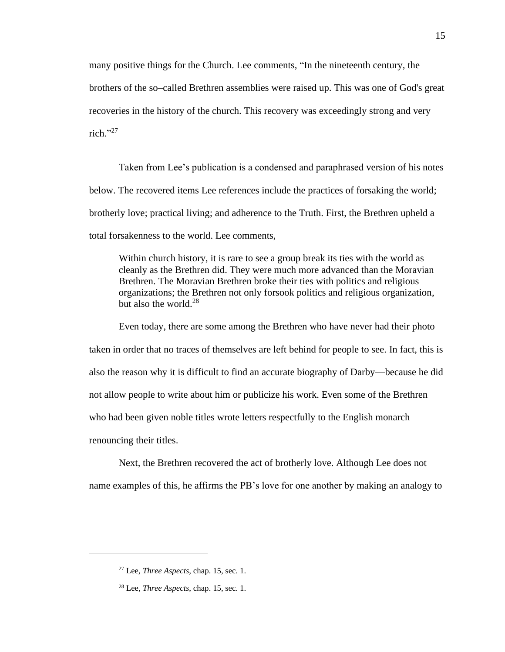many positive things for the Church. Lee comments, "In the nineteenth century, the brothers of the so–called Brethren assemblies were raised up. This was one of God's great recoveries in the history of the church. This recovery was exceedingly strong and very rich." 27

Taken from Lee's publication is a condensed and paraphrased version of his notes below. The recovered items Lee references include the practices of forsaking the world; brotherly love; practical living; and adherence to the Truth. First, the Brethren upheld a total forsakenness to the world. Lee comments,

Within church history, it is rare to see a group break its ties with the world as cleanly as the Brethren did. They were much more advanced than the Moravian Brethren. The Moravian Brethren broke their ties with politics and religious organizations; the Brethren not only forsook politics and religious organization, but also the world. $28$ 

Even today, there are some among the Brethren who have never had their photo taken in order that no traces of themselves are left behind for people to see. In fact, this is also the reason why it is difficult to find an accurate biography of Darby—because he did not allow people to write about him or publicize his work. Even some of the Brethren who had been given noble titles wrote letters respectfully to the English monarch renouncing their titles.

Next, the Brethren recovered the act of brotherly love. Although Lee does not name examples of this, he affirms the PB's love for one another by making an analogy to

<sup>27</sup> Lee, *Three Aspects*, chap. 15, sec. 1.

<sup>28</sup> Lee, *Three Aspects*, chap. 15, sec. 1.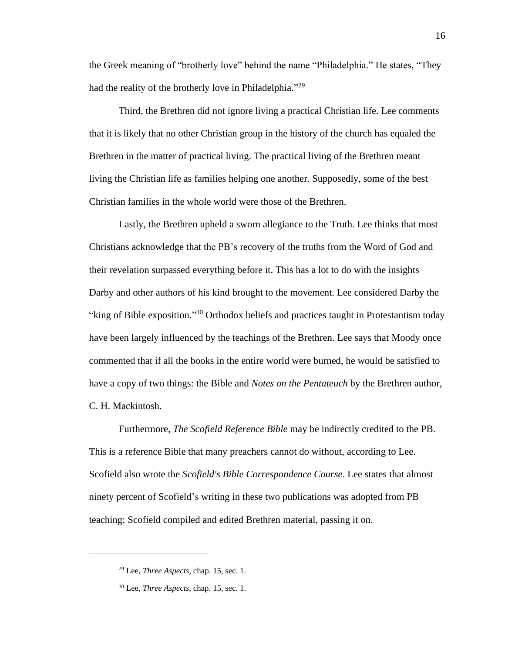the Greek meaning of "brotherly love" behind the name "Philadelphia." He states, "They had the reality of the brotherly love in Philadelphia."<sup>29</sup>

Third, the Brethren did not ignore living a practical Christian life. Lee comments that it is likely that no other Christian group in the history of the church has equaled the Brethren in the matter of practical living. The practical living of the Brethren meant living the Christian life as families helping one another. Supposedly, some of the best Christian families in the whole world were those of the Brethren.

Lastly, the Brethren upheld a sworn allegiance to the Truth. Lee thinks that most Christians acknowledge that the PB's recovery of the truths from the Word of God and their revelation surpassed everything before it. This has a lot to do with the insights Darby and other authors of his kind brought to the movement. Lee considered Darby the "king of Bible exposition."<sup>30</sup> Orthodox beliefs and practices taught in Protestantism today have been largely influenced by the teachings of the Brethren. Lee says that Moody once commented that if all the books in the entire world were burned, he would be satisfied to have a copy of two things: the Bible and *Notes on the Pentateuch* by the Brethren author, C. H. Mackintosh.

Furthermore, *The Scofield Reference Bible* may be indirectly credited to the PB. This is a reference Bible that many preachers cannot do without, according to Lee. Scofield also wrote the *Scofield's Bible Correspondence Course*. Lee states that almost ninety percent of Scofield's writing in these two publications was adopted from PB teaching; Scofield compiled and edited Brethren material, passing it on.

<sup>29</sup> Lee, *Three Aspects*, chap. 15, sec. 1.

<sup>30</sup> Lee, *Three Aspects*, chap. 15, sec. 1.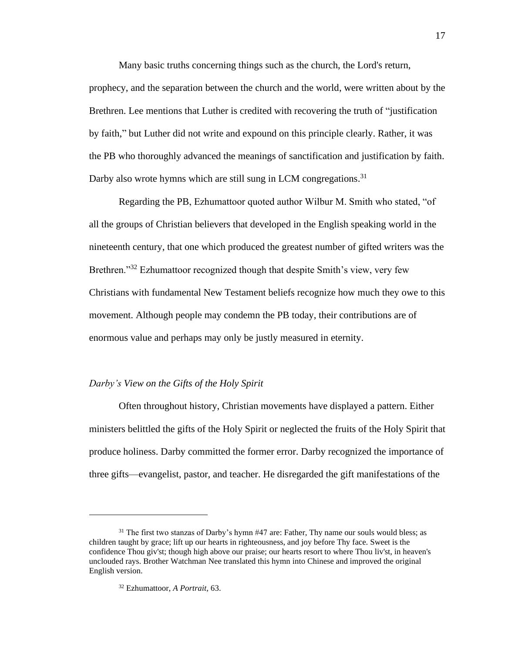Many basic truths concerning things such as the church, the Lord's return, prophecy, and the separation between the church and the world, were written about by the Brethren. Lee mentions that Luther is credited with recovering the truth of "justification by faith," but Luther did not write and expound on this principle clearly. Rather, it was the PB who thoroughly advanced the meanings of sanctification and justification by faith. Darby also wrote hymns which are still sung in LCM congregations.<sup>31</sup>

Regarding the PB, Ezhumattoor quoted author Wilbur M. Smith who stated, "of all the groups of Christian believers that developed in the English speaking world in the nineteenth century, that one which produced the greatest number of gifted writers was the Brethren."<sup>32</sup> Ezhumattoor recognized though that despite Smith's view, very few Christians with fundamental New Testament beliefs recognize how much they owe to this movement. Although people may condemn the PB today, their contributions are of enormous value and perhaps may only be justly measured in eternity.

### *Darby's View on the Gifts of the Holy Spirit*

Often throughout history, Christian movements have displayed a pattern. Either ministers belittled the gifts of the Holy Spirit or neglected the fruits of the Holy Spirit that produce holiness. Darby committed the former error. Darby recognized the importance of three gifts—evangelist, pastor, and teacher. He disregarded the gift manifestations of the

<sup>&</sup>lt;sup>31</sup> The first two stanzas of Darby's hymn #47 are: Father, Thy name our souls would bless; as children taught by grace; lift up our hearts in righteousness, and joy before Thy face. Sweet is the confidence Thou giv'st; though high above our praise; our hearts resort to where Thou liv'st, in heaven's unclouded rays. Brother Watchman Nee translated this hymn into Chinese and improved the original English version.

<sup>32</sup> Ezhumattoor, *A Portrait,* 63.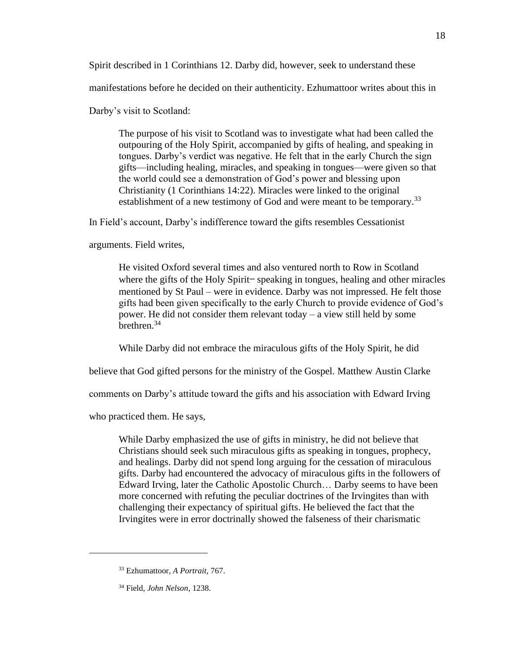Spirit described in 1 Corinthians 12. Darby did, however, seek to understand these

manifestations before he decided on their authenticity. Ezhumattoor writes about this in

Darby's visit to Scotland:

The purpose of his visit to Scotland was to investigate what had been called the outpouring of the Holy Spirit, accompanied by gifts of healing, and speaking in tongues. Darby's verdict was negative. He felt that in the early Church the sign gifts—including healing, miracles, and speaking in tongues—were given so that the world could see a demonstration of God's power and blessing upon Christianity (1 Corinthians 14:22). Miracles were linked to the original establishment of a new testimony of God and were meant to be temporary.<sup>33</sup>

In Field's account, Darby's indifference toward the gifts resembles Cessationist

arguments. Field writes,

He visited Oxford several times and also ventured north to Row in Scotland where the gifts of the Holy Spirit-speaking in tongues, healing and other miracles mentioned by St Paul – were in evidence. Darby was not impressed. He felt those gifts had been given specifically to the early Church to provide evidence of God's power. He did not consider them relevant today – a view still held by some brethren.<sup>34</sup>

While Darby did not embrace the miraculous gifts of the Holy Spirit, he did

believe that God gifted persons for the ministry of the Gospel. Matthew Austin Clarke

comments on Darby's attitude toward the gifts and his association with Edward Irving

who practiced them. He says,

While Darby emphasized the use of gifts in ministry, he did not believe that Christians should seek such miraculous gifts as speaking in tongues, prophecy, and healings. Darby did not spend long arguing for the cessation of miraculous gifts. Darby had encountered the advocacy of miraculous gifts in the followers of Edward Irving, later the Catholic Apostolic Church… Darby seems to have been more concerned with refuting the peculiar doctrines of the Irvingites than with challenging their expectancy of spiritual gifts. He believed the fact that the Irvingites were in error doctrinally showed the falseness of their charismatic

<sup>33</sup> Ezhumattoor, *A Portrait,* 767.

<sup>34</sup> Field, *John Nelson*, 1238.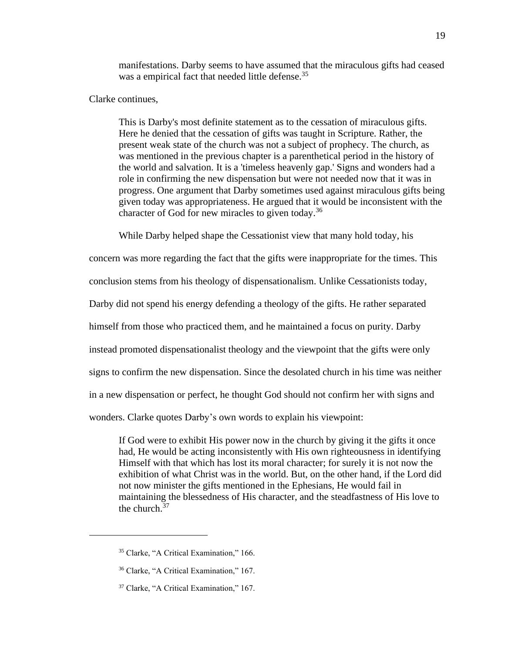manifestations. Darby seems to have assumed that the miraculous gifts had ceased was a empirical fact that needed little defense.<sup>35</sup>

Clarke continues,

This is Darby's most definite statement as to the cessation of miraculous gifts. Here he denied that the cessation of gifts was taught in Scripture. Rather, the present weak state of the church was not a subject of prophecy. The church, as was mentioned in the previous chapter is a parenthetical period in the history of the world and salvation. It is a 'timeless heavenly gap.' Signs and wonders had a role in confirming the new dispensation but were not needed now that it was in progress. One argument that Darby sometimes used against miraculous gifts being given today was appropriateness. He argued that it would be inconsistent with the character of God for new miracles to given today.<sup>36</sup>

While Darby helped shape the Cessationist view that many hold today, his

concern was more regarding the fact that the gifts were inappropriate for the times. This

conclusion stems from his theology of dispensationalism. Unlike Cessationists today,

Darby did not spend his energy defending a theology of the gifts. He rather separated

himself from those who practiced them, and he maintained a focus on purity. Darby

instead promoted dispensationalist theology and the viewpoint that the gifts were only

signs to confirm the new dispensation. Since the desolated church in his time was neither

in a new dispensation or perfect, he thought God should not confirm her with signs and

wonders. Clarke quotes Darby's own words to explain his viewpoint:

If God were to exhibit His power now in the church by giving it the gifts it once had, He would be acting inconsistently with His own righteousness in identifying Himself with that which has lost its moral character; for surely it is not now the exhibition of what Christ was in the world. But, on the other hand, if the Lord did not now minister the gifts mentioned in the Ephesians, He would fail in maintaining the blessedness of His character, and the steadfastness of His love to the church.<sup>37</sup>

<sup>35</sup> Clarke, "A Critical Examination," 166.

<sup>36</sup> Clarke, "A Critical Examination," 167.

<sup>37</sup> Clarke, "A Critical Examination," 167.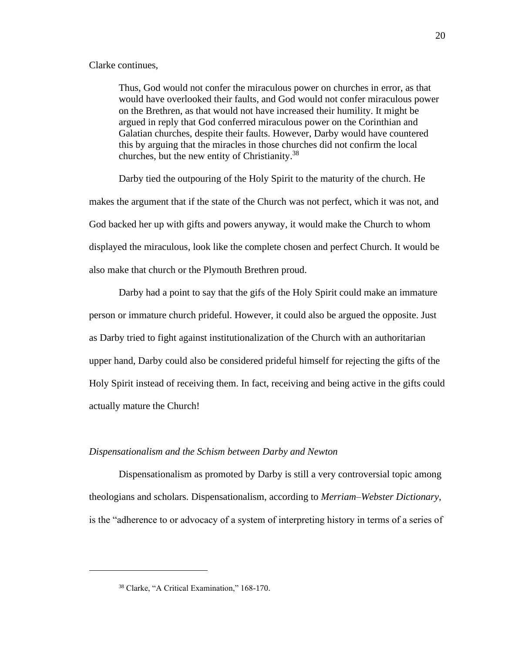#### Clarke continues,

Thus, God would not confer the miraculous power on churches in error, as that would have overlooked their faults, and God would not confer miraculous power on the Brethren, as that would not have increased their humility. It might be argued in reply that God conferred miraculous power on the Corinthian and Galatian churches, despite their faults. However, Darby would have countered this by arguing that the miracles in those churches did not confirm the local churches, but the new entity of Christianity.<sup>38</sup>

Darby tied the outpouring of the Holy Spirit to the maturity of the church. He makes the argument that if the state of the Church was not perfect, which it was not, and God backed her up with gifts and powers anyway, it would make the Church to whom displayed the miraculous, look like the complete chosen and perfect Church. It would be also make that church or the Plymouth Brethren proud.

Darby had a point to say that the gifs of the Holy Spirit could make an immature person or immature church prideful. However, it could also be argued the opposite. Just as Darby tried to fight against institutionalization of the Church with an authoritarian upper hand, Darby could also be considered prideful himself for rejecting the gifts of the Holy Spirit instead of receiving them. In fact, receiving and being active in the gifts could actually mature the Church!

#### *Dispensationalism and the Schism between Darby and Newton*

Dispensationalism as promoted by Darby is still a very controversial topic among theologians and scholars. Dispensationalism, according to *Merriam–Webster Dictionary*, is the "adherence to or advocacy of a system of interpreting history in terms of a series of

<sup>38</sup> Clarke, "A Critical Examination," 168-170.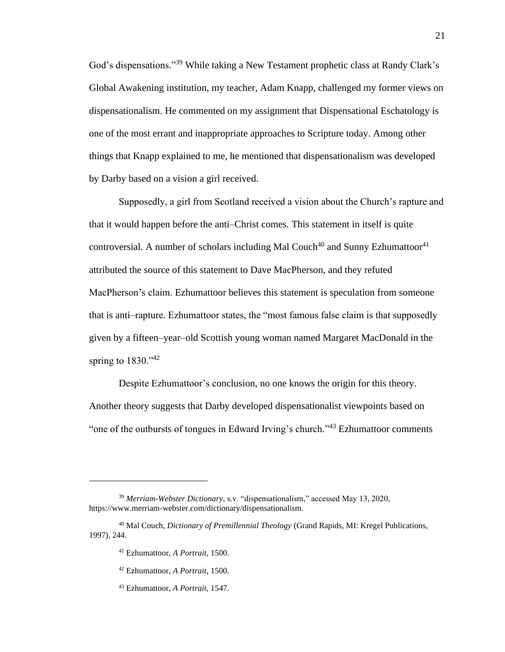God's dispensations."<sup>39</sup> While taking a New Testament prophetic class at Randy Clark's Global Awakening institution, my teacher, Adam Knapp, challenged my former views on dispensationalism. He commented on my assignment that Dispensational Eschatology is one of the most errant and inappropriate approaches to Scripture today. Among other things that Knapp explained to me, he mentioned that dispensationalism was developed by Darby based on a vision a girl received.

Supposedly, a girl from Scotland received a vision about the Church's rapture and that it would happen before the anti–Christ comes. This statement in itself is quite controversial. A number of scholars including Mal Couch<sup>40</sup> and Sunny Ezhumattoor<sup>41</sup> attributed the source of this statement to Dave MacPherson, and they refuted MacPherson's claim. Ezhumattoor believes this statement is speculation from someone that is anti–rapture. Ezhumattoor states, the "most famous false claim is that supposedly given by a fifteen–year–old Scottish young woman named Margaret MacDonald in the spring to  $1830.^{42}$ 

Despite Ezhumattoor's conclusion, no one knows the origin for this theory. Another theory suggests that Darby developed dispensationalist viewpoints based on "one of the outbursts of tongues in Edward Irving's church."<sup>43</sup> Ezhumattoor comments

- <sup>42</sup> Ezhumattoor, *A Portrait,* 1500.
- <sup>43</sup> Ezhumattoor, *A Portrait,* 1547.

<sup>39</sup> *Merriam-Webster Dictionary*, s.v. "dispensationalism," accessed May 13, 2020, https://www.merriam-webster.com/dictionary/dispensationalism.

<sup>40</sup> Mal Couch, *Dictionary of Premillennial Theology* (Grand Rapids, MI: Kregel Publications, 1997), 244.

<sup>41</sup> Ezhumattoor, *A Portrait,* 1500.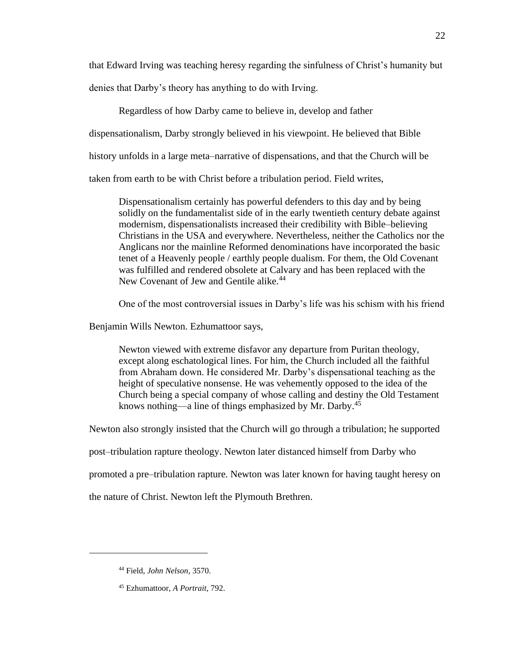that Edward Irving was teaching heresy regarding the sinfulness of Christ's humanity but denies that Darby's theory has anything to do with Irving.

Regardless of how Darby came to believe in, develop and father dispensationalism, Darby strongly believed in his viewpoint. He believed that Bible history unfolds in a large meta–narrative of dispensations, and that the Church will be taken from earth to be with Christ before a tribulation period. Field writes,

Dispensationalism certainly has powerful defenders to this day and by being solidly on the fundamentalist side of in the early twentieth century debate against modernism, dispensationalists increased their credibility with Bible–believing Christians in the USA and everywhere. Nevertheless, neither the Catholics nor the Anglicans nor the mainline Reformed denominations have incorporated the basic tenet of a Heavenly people / earthly people dualism. For them, the Old Covenant was fulfilled and rendered obsolete at Calvary and has been replaced with the New Covenant of Jew and Gentile alike.<sup>44</sup>

One of the most controversial issues in Darby's life was his schism with his friend

Benjamin Wills Newton. Ezhumattoor says,

Newton viewed with extreme disfavor any departure from Puritan theology, except along eschatological lines. For him, the Church included all the faithful from Abraham down. He considered Mr. Darby's dispensational teaching as the height of speculative nonsense. He was vehemently opposed to the idea of the Church being a special company of whose calling and destiny the Old Testament knows nothing—a line of things emphasized by Mr. Darby.<sup>45</sup>

Newton also strongly insisted that the Church will go through a tribulation; he supported

post–tribulation rapture theology. Newton later distanced himself from Darby who

promoted a pre–tribulation rapture. Newton was later known for having taught heresy on

the nature of Christ. Newton left the Plymouth Brethren.

<sup>44</sup> Field, *John Nelson*, 3570.

<sup>45</sup> Ezhumattoor, *A Portrait,* 792.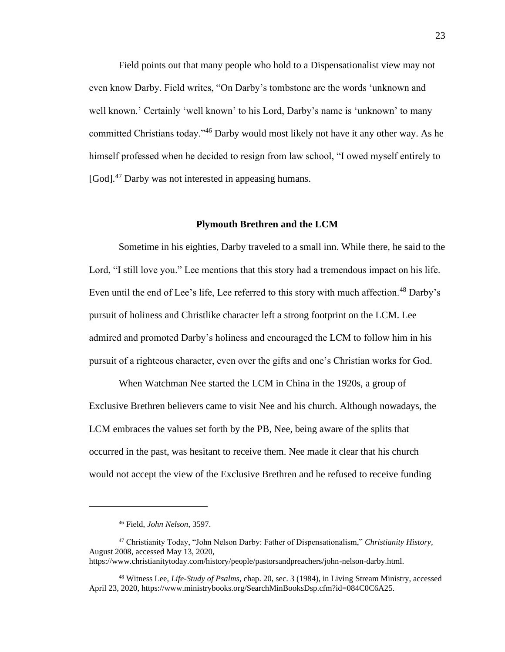Field points out that many people who hold to a Dispensationalist view may not even know Darby. Field writes, "On Darby's tombstone are the words 'unknown and well known.' Certainly 'well known' to his Lord, Darby's name is 'unknown' to many committed Christians today."<sup>46</sup> Darby would most likely not have it any other way. As he himself professed when he decided to resign from law school, "I owed myself entirely to [God].<sup>47</sup> Darby was not interested in appeasing humans.

#### **Plymouth Brethren and the LCM**

Sometime in his eighties, Darby traveled to a small inn. While there, he said to the Lord, "I still love you." Lee mentions that this story had a tremendous impact on his life. Even until the end of Lee's life, Lee referred to this story with much affection.<sup>48</sup> Darby's pursuit of holiness and Christlike character left a strong footprint on the LCM. Lee admired and promoted Darby's holiness and encouraged the LCM to follow him in his pursuit of a righteous character, even over the gifts and one's Christian works for God.

When Watchman Nee started the LCM in China in the 1920s, a group of Exclusive Brethren believers came to visit Nee and his church. Although nowadays, the LCM embraces the values set forth by the PB, Nee, being aware of the splits that occurred in the past, was hesitant to receive them. Nee made it clear that his church would not accept the view of the Exclusive Brethren and he refused to receive funding

<sup>46</sup> Field, *John Nelson*, 3597.

<sup>47</sup> Christianity Today, "John Nelson Darby: Father of Dispensationalism," *Christianity History,*  August 2008, accessed May 13, 2020, https://www.christianitytoday.com/history/people/pastorsandpreachers/john-nelson-darby.html.

<sup>48</sup> Witness Lee, *Life-Study of Psalms*, chap. 20, sec. 3 (1984), in Living Stream Ministry, accessed April 23, 2020, https://www.ministrybooks.org/SearchMinBooksDsp.cfm?id=084C0C6A25.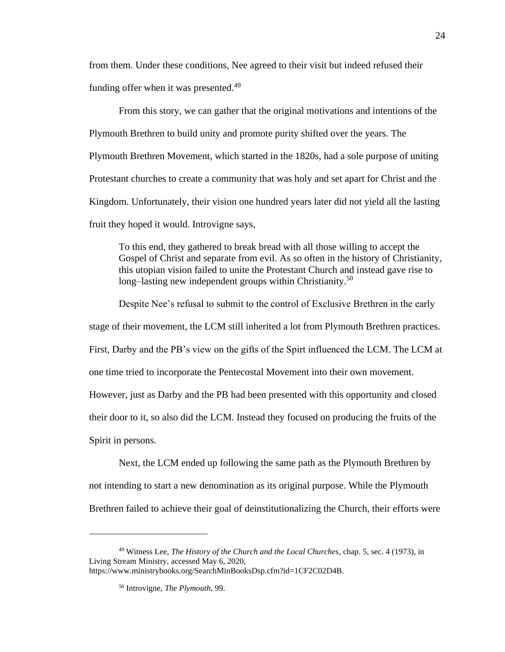from them. Under these conditions, Nee agreed to their visit but indeed refused their funding offer when it was presented.<sup>49</sup>

From this story, we can gather that the original motivations and intentions of the Plymouth Brethren to build unity and promote purity shifted over the years. The Plymouth Brethren Movement, which started in the 1820s, had a sole purpose of uniting Protestant churches to create a community that was holy and set apart for Christ and the Kingdom. Unfortunately, their vision one hundred years later did not yield all the lasting fruit they hoped it would. Introvigne says,

To this end, they gathered to break bread with all those willing to accept the Gospel of Christ and separate from evil. As so often in the history of Christianity, this utopian vision failed to unite the Protestant Church and instead gave rise to long–lasting new independent groups within Christianity.<sup>50</sup>

Despite Nee's refusal to submit to the control of Exclusive Brethren in the early stage of their movement, the LCM still inherited a lot from Plymouth Brethren practices. First, Darby and the PB's view on the gifts of the Spirt influenced the LCM. The LCM at one time tried to incorporate the Pentecostal Movement into their own movement. However, just as Darby and the PB had been presented with this opportunity and closed their door to it, so also did the LCM. Instead they focused on producing the fruits of the Spirit in persons.

Next, the LCM ended up following the same path as the Plymouth Brethren by not intending to start a new denomination as its original purpose. While the Plymouth Brethren failed to achieve their goal of deinstitutionalizing the Church, their efforts were

<sup>49</sup> Witness Lee, *The History of the Church and the Local Churches*, chap. 5, sec. 4 (1973), in Living Stream Ministry, accessed May 6, 2020, https://www.ministrybooks.org/SearchMinBooksDsp.cfm?id=1CF2C02D4B.

<sup>50</sup> Introvigne, *The Plymouth,* 99.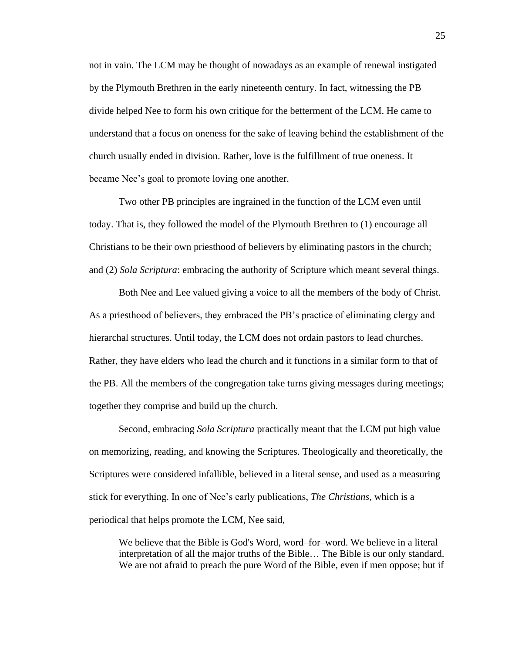not in vain. The LCM may be thought of nowadays as an example of renewal instigated by the Plymouth Brethren in the early nineteenth century. In fact, witnessing the PB divide helped Nee to form his own critique for the betterment of the LCM. He came to understand that a focus on oneness for the sake of leaving behind the establishment of the church usually ended in division. Rather, love is the fulfillment of true oneness. It became Nee's goal to promote loving one another.

Two other PB principles are ingrained in the function of the LCM even until today. That is, they followed the model of the Plymouth Brethren to (1) encourage all Christians to be their own priesthood of believers by eliminating pastors in the church; and (2) *Sola Scriptura*: embracing the authority of Scripture which meant several things.

Both Nee and Lee valued giving a voice to all the members of the body of Christ. As a priesthood of believers, they embraced the PB's practice of eliminating clergy and hierarchal structures. Until today, the LCM does not ordain pastors to lead churches. Rather, they have elders who lead the church and it functions in a similar form to that of the PB. All the members of the congregation take turns giving messages during meetings; together they comprise and build up the church.

Second, embracing *Sola Scriptura* practically meant that the LCM put high value on memorizing, reading, and knowing the Scriptures. Theologically and theoretically, the Scriptures were considered infallible, believed in a literal sense, and used as a measuring stick for everything. In one of Nee's early publications, *The Christians,* which is a periodical that helps promote the LCM, Nee said,

We believe that the Bible is God's Word, word–for–word. We believe in a literal interpretation of all the major truths of the Bible… The Bible is our only standard. We are not afraid to preach the pure Word of the Bible, even if men oppose; but if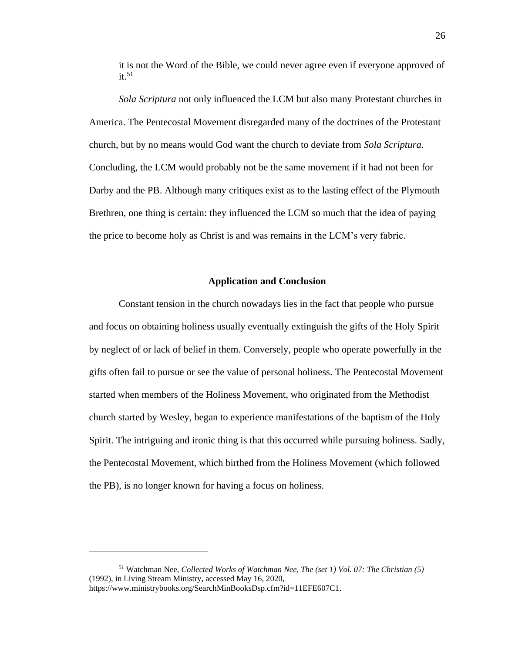it is not the Word of the Bible, we could never agree even if everyone approved of  $it.51$ 

*Sola Scriptura* not only influenced the LCM but also many Protestant churches in America. The Pentecostal Movement disregarded many of the doctrines of the Protestant church, but by no means would God want the church to deviate from *Sola Scriptura.* Concluding, the LCM would probably not be the same movement if it had not been for Darby and the PB. Although many critiques exist as to the lasting effect of the Plymouth Brethren, one thing is certain: they influenced the LCM so much that the idea of paying the price to become holy as Christ is and was remains in the LCM's very fabric.

## **Application and Conclusion**

Constant tension in the church nowadays lies in the fact that people who pursue and focus on obtaining holiness usually eventually extinguish the gifts of the Holy Spirit by neglect of or lack of belief in them. Conversely, people who operate powerfully in the gifts often fail to pursue or see the value of personal holiness. The Pentecostal Movement started when members of the Holiness Movement, who originated from the Methodist church started by Wesley, began to experience manifestations of the baptism of the Holy Spirit. The intriguing and ironic thing is that this occurred while pursuing holiness. Sadly, the Pentecostal Movement, which birthed from the Holiness Movement (which followed the PB), is no longer known for having a focus on holiness.

<sup>51</sup> Watchman Nee, *Collected Works of Watchman Nee, The (set 1) Vol. 07: The Christian (5)* (1992), in Living Stream Ministry, accessed May 16, 2020, https://www.ministrybooks.org/SearchMinBooksDsp.cfm?id=11EFE607C1.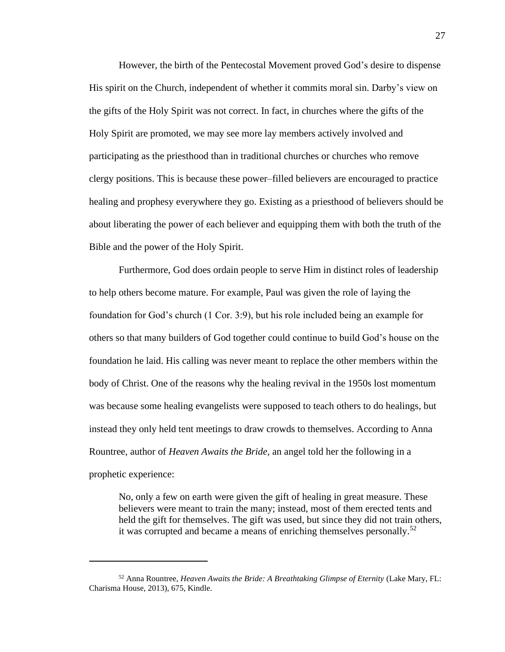However, the birth of the Pentecostal Movement proved God's desire to dispense His spirit on the Church, independent of whether it commits moral sin. Darby's view on the gifts of the Holy Spirit was not correct. In fact, in churches where the gifts of the Holy Spirit are promoted, we may see more lay members actively involved and participating as the priesthood than in traditional churches or churches who remove clergy positions. This is because these power–filled believers are encouraged to practice healing and prophesy everywhere they go. Existing as a priesthood of believers should be about liberating the power of each believer and equipping them with both the truth of the Bible and the power of the Holy Spirit.

Furthermore, God does ordain people to serve Him in distinct roles of leadership to help others become mature. For example, Paul was given the role of laying the foundation for God's church (1 Cor. 3:9), but his role included being an example for others so that many builders of God together could continue to build God's house on the foundation he laid. His calling was never meant to replace the other members within the body of Christ. One of the reasons why the healing revival in the 1950s lost momentum was because some healing evangelists were supposed to teach others to do healings, but instead they only held tent meetings to draw crowds to themselves. According to Anna Rountree, author of *Heaven Awaits the Bride,* an angel told her the following in a prophetic experience:

No, only a few on earth were given the gift of healing in great measure. These believers were meant to train the many; instead, most of them erected tents and held the gift for themselves. The gift was used, but since they did not train others, it was corrupted and became a means of enriching themselves personally.<sup>52</sup>

<sup>52</sup> Anna Rountree, *Heaven Awaits the Bride: A Breathtaking Glimpse of Eternity* (Lake Mary, FL: Charisma House, 2013), 675, Kindle.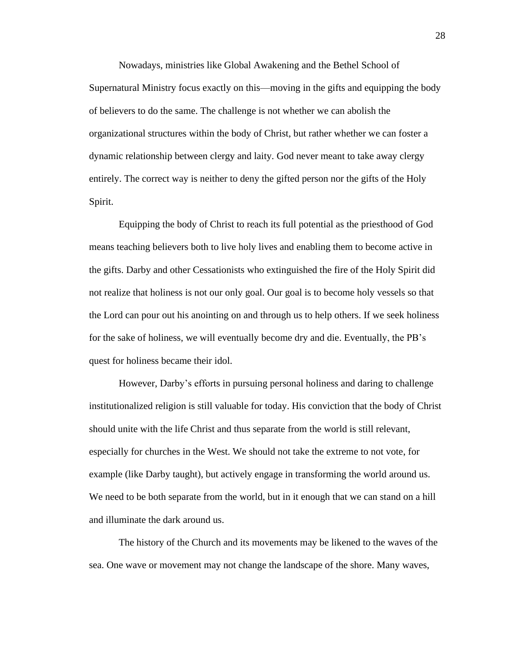Nowadays, ministries like Global Awakening and the Bethel School of Supernatural Ministry focus exactly on this—moving in the gifts and equipping the body of believers to do the same. The challenge is not whether we can abolish the organizational structures within the body of Christ, but rather whether we can foster a dynamic relationship between clergy and laity. God never meant to take away clergy entirely. The correct way is neither to deny the gifted person nor the gifts of the Holy Spirit.

Equipping the body of Christ to reach its full potential as the priesthood of God means teaching believers both to live holy lives and enabling them to become active in the gifts. Darby and other Cessationists who extinguished the fire of the Holy Spirit did not realize that holiness is not our only goal. Our goal is to become holy vessels so that the Lord can pour out his anointing on and through us to help others. If we seek holiness for the sake of holiness, we will eventually become dry and die. Eventually, the PB's quest for holiness became their idol.

However, Darby's efforts in pursuing personal holiness and daring to challenge institutionalized religion is still valuable for today. His conviction that the body of Christ should unite with the life Christ and thus separate from the world is still relevant, especially for churches in the West. We should not take the extreme to not vote, for example (like Darby taught), but actively engage in transforming the world around us. We need to be both separate from the world, but in it enough that we can stand on a hill and illuminate the dark around us.

The history of the Church and its movements may be likened to the waves of the sea. One wave or movement may not change the landscape of the shore. Many waves,

28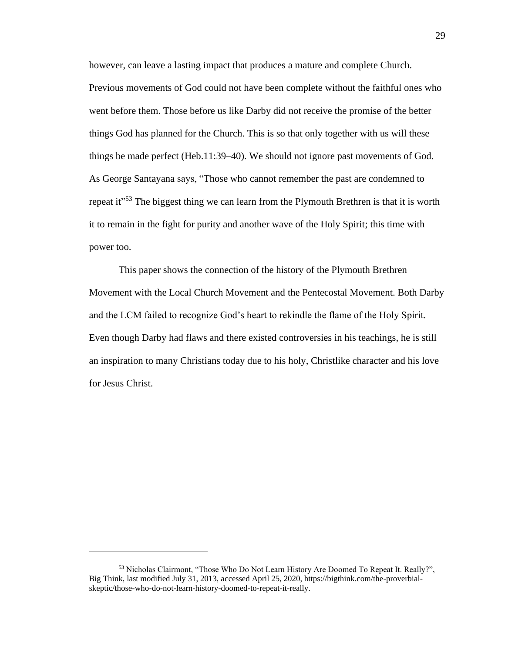however, can leave a lasting impact that produces a mature and complete Church. Previous movements of God could not have been complete without the faithful ones who went before them. Those before us like Darby did not receive the promise of the better things God has planned for the Church. This is so that only together with us will these things be made perfect (Heb.11:39–40). We should not ignore past movements of God. As George Santayana says, "Those who cannot remember the past are condemned to repeat it<sup>"53</sup> The biggest thing we can learn from the Plymouth Brethren is that it is worth it to remain in the fight for purity and another wave of the Holy Spirit; this time with power too.

This paper shows the connection of the history of the Plymouth Brethren Movement with the Local Church Movement and the Pentecostal Movement. Both Darby and the LCM failed to recognize God's heart to rekindle the flame of the Holy Spirit. Even though Darby had flaws and there existed controversies in his teachings, he is still an inspiration to many Christians today due to his holy, Christlike character and his love for Jesus Christ.

<sup>53</sup> Nicholas Clairmont, "Those Who Do Not Learn History Are Doomed To Repeat It. Really?", Big Think, last modified July 31, 2013, accessed April 25, 2020, https://bigthink.com/the-proverbialskeptic/those-who-do-not-learn-history-doomed-to-repeat-it-really.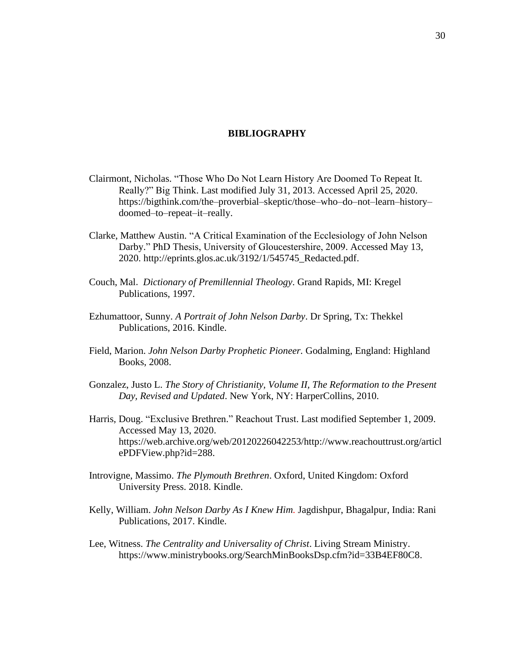# **BIBLIOGRAPHY**

- Clairmont, Nicholas. "Those Who Do Not Learn History Are Doomed To Repeat It. Really?" Big Think. Last modified July 31, 2013. Accessed April 25, 2020. https://bigthink.com/the–proverbial–skeptic/those–who–do–not–learn–history– doomed–to–repeat–it–really.
- Clarke, Matthew Austin. "A Critical Examination of the Ecclesiology of John Nelson Darby." PhD Thesis, University of Gloucestershire, 2009. Accessed May 13, 2020. http://eprints.glos.ac.uk/3192/1/545745\_Redacted.pdf.
- Couch, Mal. *Dictionary of Premillennial Theology*. Grand Rapids, MI: Kregel Publications, 1997.
- Ezhumattoor, Sunny. *A Portrait of John Nelson Darby*. Dr Spring, Tx: Thekkel Publications, 2016. Kindle.
- Field, Marion. *John Nelson Darby Prophetic Pioneer.* Godalming, England: Highland Books, 2008.
- Gonzalez, Justo L. *The Story of Christianity, Volume II, The Reformation to the Present Day, Revised and Updated*. New York, NY: HarperCollins, 2010.
- Harris, Doug. "Exclusive Brethren." Reachout Trust. Last modified September 1, 2009. Accessed May 13, 2020. https://web.archive.org/web/20120226042253/http://www.reachouttrust.org/articl ePDFView.php?id=288.
- Introvigne, Massimo. *The Plymouth Brethren*. Oxford, United Kingdom: Oxford University Press. 2018. Kindle.
- Kelly, William. *John Nelson Darby As I Knew Him.* Jagdishpur, Bhagalpur, India: Rani Publications, 2017. Kindle.
- Lee, Witness. *The Centrality and Universality of Christ*. Living Stream Ministry. https://www.ministrybooks.org/SearchMinBooksDsp.cfm?id=33B4EF80C8.